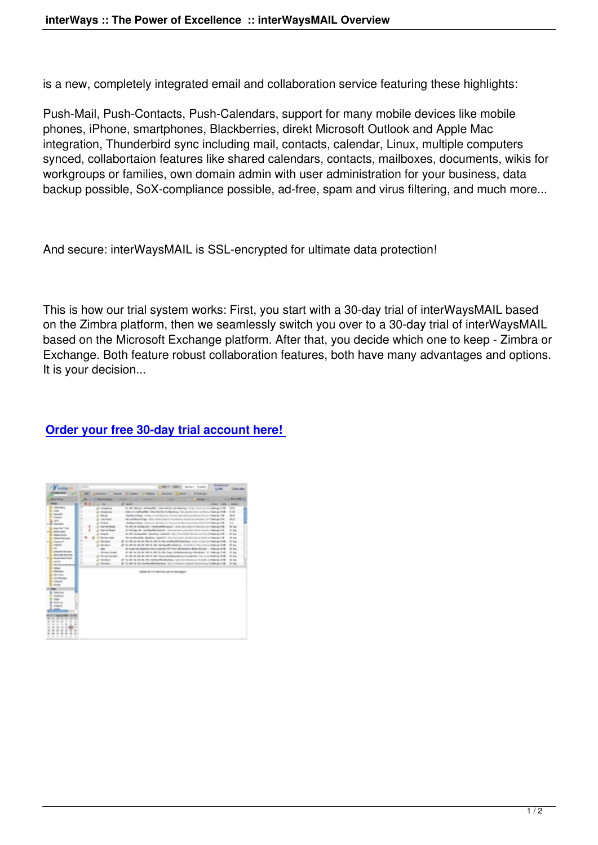is a new, completely integrated email and collaboration service featuring these highlights:

Push-Mail, Push-Contacts, Push-Calendars, support for many mobile devices like mobile phones, iPhone, smartphones, Blackberries, direkt Microsoft Outlook and Apple Mac integration, Thunderbird sync including mail, contacts, calendar, Linux, multiple computers synced, collabortaion features like shared calendars, contacts, mailboxes, documents, wikis for workgroups or families, own domain admin with user administration for your business, data backup possible, SoX-compliance possible, ad-free, spam and virus filtering, and much more...

And secure: interWaysMAIL is SSL-encrypted for ultimate data protection!

This is how our trial system works: First, you start with a 30-day trial of interWaysMAIL based on the Zimbra platform, then we seamlessly switch you over to a 30-day trial of interWaysMAIL based on the Microsoft Exchange platform. After that, you decide which one to keep - Zimbra or Exchange. Both feature robust collaboration features, both have many advantages and options. It is your decision...

## **Order your free 30-day trial account here!**